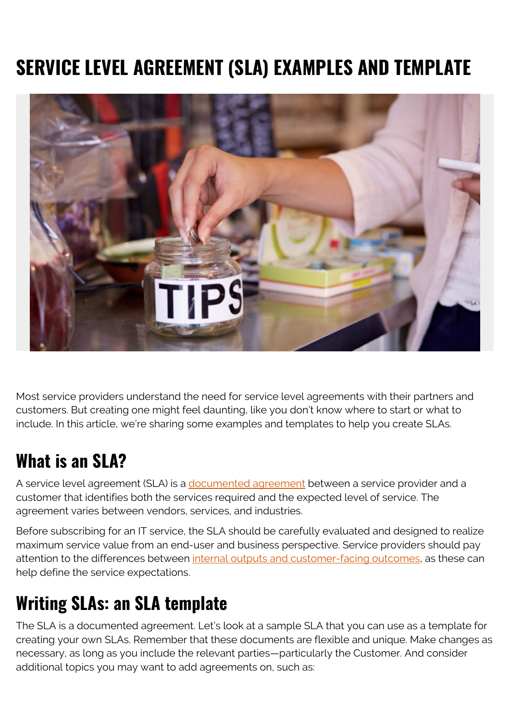# **SERVICE LEVEL AGREEMENT (SLA) EXAMPLES AND TEMPLATE**



Most service providers understand the need for service level agreements with their partners and customers. But creating one might feel daunting, like you don't know where to start or what to include. In this article, we're sharing some examples and templates to help you create SLAs.

## **What is an SLA?**

A service level agreement (SLA) is a [documented agreement](https://blogs.bmc.com/blogs/sla-best-practices/) between a service provider and a customer that identifies both the services required and the expected level of service. The agreement varies between vendors, services, and industries.

Before subscribing for an IT service, the SLA should be carefully evaluated and designed to realize maximum service value from an end-user and business perspective. Service providers should pay attention to the differences between [internal outputs and customer-facing outcomes](https://blogs.bmc.com/blogs/outcomes-vs-outputs/), as these can help define the service expectations.

## **Writing SLAs: an SLA template**

The SLA is a documented agreement. Let's look at a sample SLA that you can use as a template for creating your own SLAs. Remember that these documents are flexible and unique. Make changes as necessary, as long as you include the relevant parties—particularly the Customer. And consider additional topics you may want to add agreements on, such as: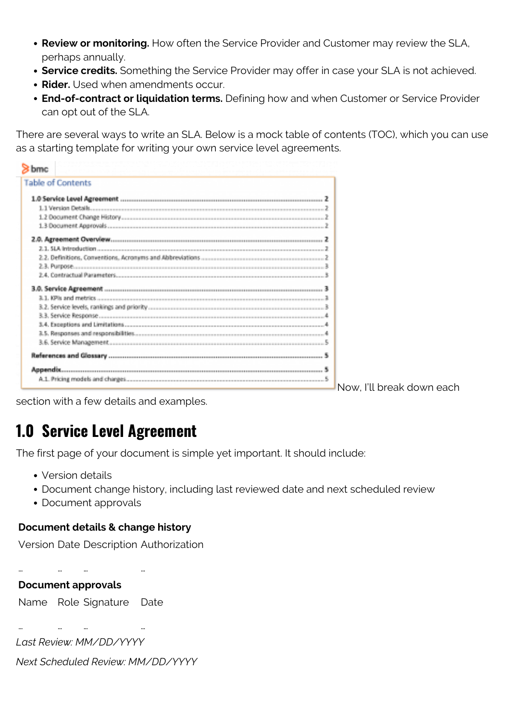- **Review or monitoring.** How often the Service Provider and Customer may review the SLA, perhaps annually.
- **Service credits.** Something the Service Provider may offer in case your SLA is not achieved.
- **Rider.** Used when amendments occur.
- **End-of-contract or liquidation terms.** Defining how and when Customer or Service Provider can opt out of the SLA.

There are several ways to write an SLA. Below is a mock table of contents (TOC), which you can use as a starting template for writing your own service level agreements.

| <b>Table of Contents</b> |  |
|--------------------------|--|
|                          |  |
| 1.1 Version Details.     |  |
|                          |  |
|                          |  |
| 2.0. Agreement Overview. |  |
| 2.1. SLA Interviewing    |  |
|                          |  |
|                          |  |
|                          |  |
|                          |  |
|                          |  |
|                          |  |
|                          |  |
|                          |  |
|                          |  |
|                          |  |
|                          |  |
| Accendix.                |  |
|                          |  |

Now, I'll break down each

section with a few details and examples.

### **1.0 Service Level Agreement**

The first page of your document is simple yet important. It should include:

- Version details
- Document change history, including last reviewed date and next scheduled review
- Document approvals

#### **Document details & change history**

Version Date Description Authorization

… … … …

#### **Document approvals**

Name Role Signature Date

… … … … *Last Review: MM/DD/YYYY*

*Next Scheduled Review: MM/DD/YYYY*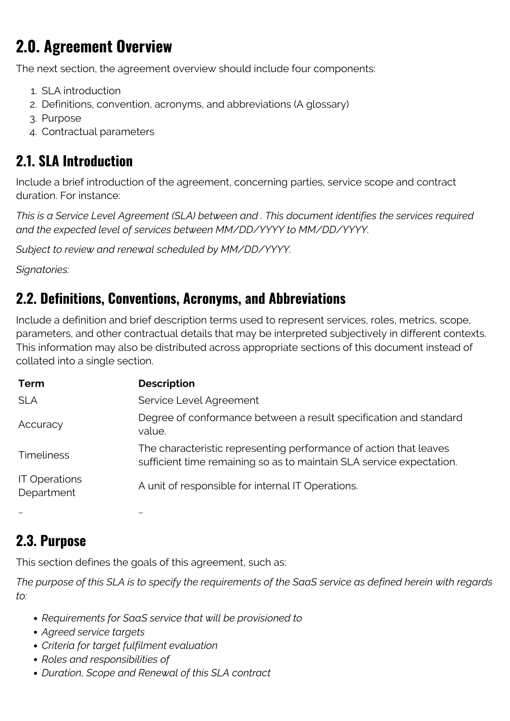## **2.0. Agreement Overview**

The next section, the agreement overview should include four components:

- 1. SLA introduction
- 2. Definitions, convention, acronyms, and abbreviations (A glossary)
- 3. Purpose
- 4. Contractual parameters

#### **2.1. SLA Introduction**

Include a brief introduction of the agreement, concerning parties, service scope and contract duration. For instance:

*This is a Service Level Agreement (SLA) between and . This document identifies the services required and the expected level of services between MM/DD/YYYY to MM/DD/YYYY.*

*Subject to review and renewal scheduled by MM/DD/YYYY.*

*Signatories:*

#### **2.2. Definitions, Conventions, Acronyms, and Abbreviations**

Include a definition and brief description terms used to represent services, roles, metrics, scope, parameters, and other contractual details that may be interpreted subjectively in different contexts. This information may also be distributed across appropriate sections of this document instead of collated into a single section.

| <b>Term</b>                        | <b>Description</b>                                                                                                                        |
|------------------------------------|-------------------------------------------------------------------------------------------------------------------------------------------|
| <b>SLA</b>                         | Service Level Agreement                                                                                                                   |
| Accuracy                           | Degree of conformance between a result specification and standard<br>value.                                                               |
| <b>Timeliness</b>                  | The characteristic representing performance of action that leaves<br>sufficient time remaining so as to maintain SLA service expectation. |
| <b>IT Operations</b><br>Department | A unit of responsible for internal IT Operations.                                                                                         |
|                                    | $\cdots$                                                                                                                                  |

### **2.3. Purpose**

This section defines the goals of this agreement, such as:

*The purpose of this SLA is to specify the requirements of the SaaS service as defined herein with regards to:*

- *Requirements for SaaS service that will be provisioned to*
- *Agreed service targets*
- *Criteria for target fulfilment evaluation*
- *Roles and responsibilities of*
- *Duration, Scope and Renewal of this SLA contract*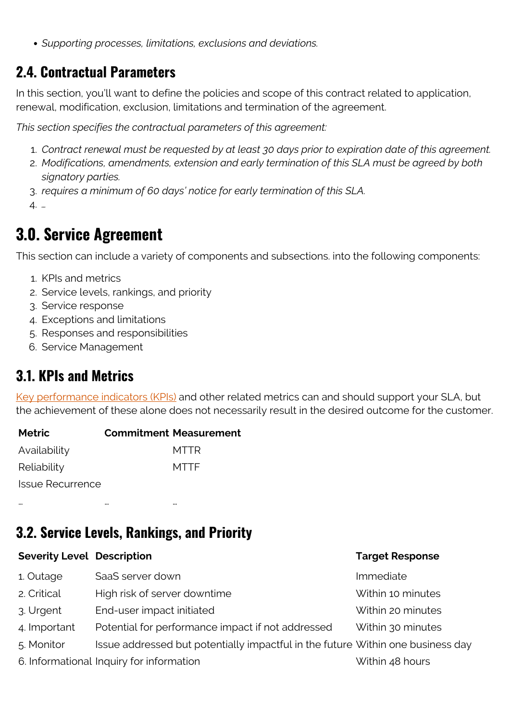*Supporting processes, limitations, exclusions and deviations.*

#### **2.4. Contractual Parameters**

In this section, you'll want to define the policies and scope of this contract related to application, renewal, modification, exclusion, limitations and termination of the agreement.

*This section specifies the contractual parameters of this agreement:*

- 1. *Contract renewal must be requested by at least 30 days prior to expiration date of this agreement.*
- 2. *Modifications, amendments, extension and early termination of this SLA must be agreed by both signatory parties.*
- 3. *requires a minimum of 60 days' notice for early termination of this SLA.*

4. *…*

### **3.0. Service Agreement**

This section can include a variety of components and subsections. into the following components:

- 1. KPIs and metrics
- 2. Service levels, rankings, and priority
- 3. Service response
- 4. Exceptions and limitations
- 5. Responses and responsibilities
- 6. Service Management

#### **3.1. KPIs and Metrics**

[Key performance indicators \(KPIs\)](https://blogs.bmc.com/blogs/sla-vs-kpi/) and other related metrics can and should support your SLA, but the achievement of these alone does not necessarily result in the desired outcome for the customer.

| <b>Metric</b>           | <b>Commitment Measurement</b> |
|-------------------------|-------------------------------|
| Availability            | MTTR                          |
| Reliability             | <b>MTTF</b>                   |
| <b>Issue Recurrence</b> |                               |

… … …

#### **3.2. Service Levels, Rankings, and Priority**

| <b>Severity Level Description</b>                 | <b>Target Response</b>                                                          |
|---------------------------------------------------|---------------------------------------------------------------------------------|
| SaaS server down                                  | Immediate                                                                       |
| High risk of server downtime                      | Within 10 minutes                                                               |
| End-user impact initiated                         | Within 20 minutes                                                               |
| Potential for performance impact if not addressed | Within 30 minutes                                                               |
|                                                   |                                                                                 |
| 6. Informational Inquiry for information          | Within 48 hours                                                                 |
|                                                   | Issue addressed but potentially impactful in the future Within one business day |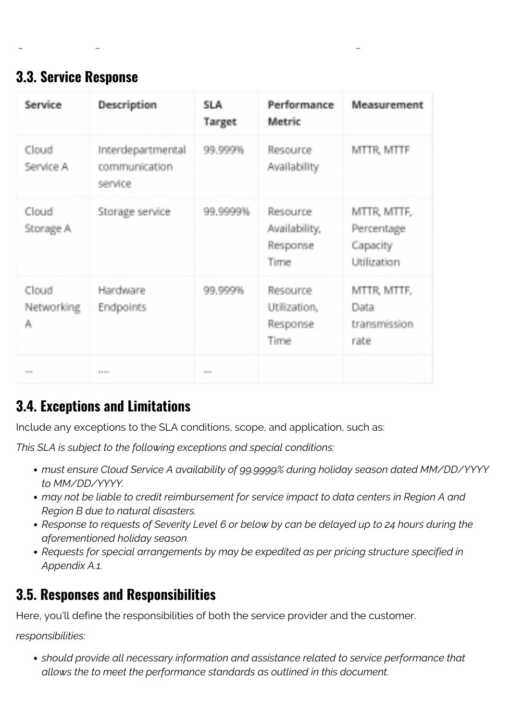#### **3.3. Service Response**

| Service                  | <b>Description</b>                            | <b>SLA</b><br>Target | Performance<br>Metric                         | Measurement                                          |
|--------------------------|-----------------------------------------------|----------------------|-----------------------------------------------|------------------------------------------------------|
| Cloud<br>Service A       | Interdepartmental<br>communication<br>service | 99.999%              | Resource<br>Availability                      | MTTR, MTTF                                           |
| Cloud<br>Storage A       | Storage service                               | 99.9999%             | Resource<br>Availability,<br>Response<br>Time | MTTR, MTTF,<br>Percentage<br>Capacity<br>Utilization |
| Cloud<br>Networking<br>Α | Hardware<br>Endpoints                         | 99,999%              | Resource<br>Utilization.<br>Response<br>Time  | MTTR, MTTF,<br>Data<br>transmission<br>rate          |
| <b>STATISTICS</b>        | <b>STORY</b>                                  | <b>COMPANY</b>       |                                               |                                                      |

… … …

#### **3.4. Exceptions and Limitations**

Include any exceptions to the SLA conditions, scope, and application, such as:

*This SLA is subject to the following exceptions and special conditions:*

- *must ensure Cloud Service A availability of 99.9999% during holiday season dated MM/DD/YYYY to MM/DD/YYYY.*
- *may not be liable to credit reimbursement for service impact to data centers in Region A and Region B due to natural disasters.*
- *Response to requests of Severity Level 6 or below by can be delayed up to 24 hours during the aforementioned holiday season.*
- *Requests for special arrangements by may be expedited as per pricing structure specified in Appendix A.1.*

#### **3.5. Responses and Responsibilities**

Here, you'll define the responsibilities of both the service provider and the customer.

*responsibilities:*

*should provide all necessary information and assistance related to service performance that allows the to meet the performance standards as outlined in this document.*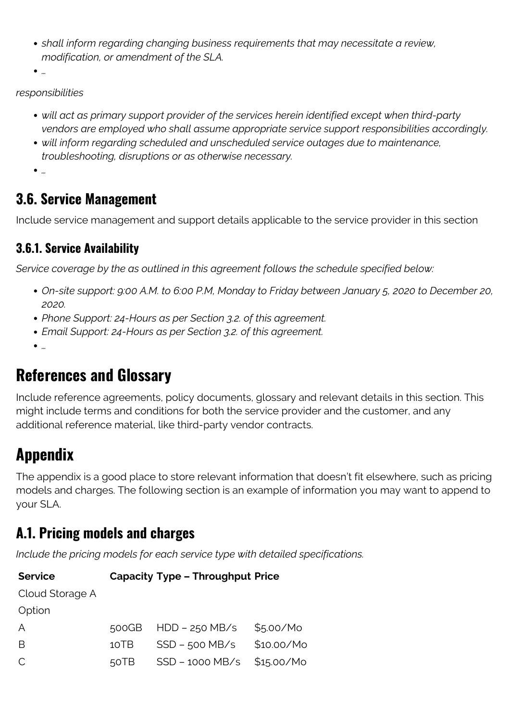- *shall inform regarding changing business requirements that may necessitate a review, modification, or amendment of the SLA.*
- *…*

#### *responsibilities*

- *will act as primary support provider of the services herein identified except when third-party vendors are employed who shall assume appropriate service support responsibilities accordingly.*
- *will inform regarding scheduled and unscheduled service outages due to maintenance, troubleshooting, disruptions or as otherwise necessary.*
- *…*

#### **3.6. Service Management**

Include service management and support details applicable to the service provider in this section

#### **3.6.1. Service Availability**

*Service coverage by the as outlined in this agreement follows the schedule specified below:*

- *On-site support: 9:00 A.M. to 6:00 P.M, Monday to Friday between January 5, 2020 to December 20, 2020.*
- *Phone Support: 24-Hours as per Section 3.2. of this agreement.*
- *Email Support: 24-Hours as per Section 3.2. of this agreement.*
- *…*

### **References and Glossary**

Include reference agreements, policy documents, glossary and relevant details in this section. This might include terms and conditions for both the service provider and the customer, and any additional reference material, like third-party vendor contracts.

## **Appendix**

The appendix is a good place to store relevant information that doesn't fit elsewhere, such as pricing models and charges. The following section is an example of information you may want to append to your SLA.

### **A.1. Pricing models and charges**

*Include the pricing models for each service type with detailed specifications.*

| <b>Service</b>  | <b>Capacity Type - Throughput Price</b> |
|-----------------|-----------------------------------------|
| Cloud Storage A |                                         |

Option

| A  | $500GB$ HDD – 250 MB/s $$5.00/Mo$ |  |
|----|-----------------------------------|--|
| -B | 10TB SSD - 500 MB/s \$10.00/Mo    |  |
| C  | $50TB$ SSD – 1000 MB/s \$15.00/Mo |  |